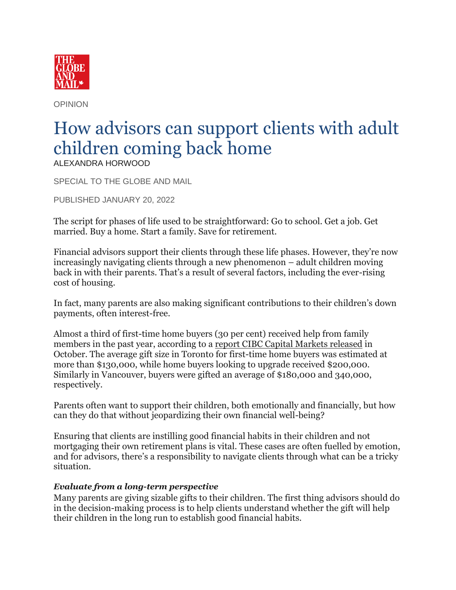

OPINION

## How advisors can support clients with adult children coming back home ALEXANDRA HORWOOD

SPECIAL TO THE GLOBE AND MAIL

PUBLISHED JANUARY 20, 2022

The script for phases of life used to be straightforward: Go to school. Get a job. Get married. Buy a home. Start a family. Save for retirement.

Financial advisors support their clients through these life phases. However, they're now increasingly navigating clients through a new phenomenon – adult children moving back in with their parents. That's a result of several factors, including the ever-rising cost of housing.

In fact, many parents are also making significant contributions to their children's down payments, often interest-free.

Almost a third of first-time home buyers (30 per cent) received help from family members in the past year, according to a [report CIBC Capital Markets released](https://chrome-extension/efaidnbmnnnibpcajpcglclefindmkaj/viewer.html?pdfurl=https://economics.cibccm.com/cds?id=9dc124d8-9764-4c1d-83b4-9e89a5d568b8&&flag=E&&clen=236190) in October. The average gift size in Toronto for first-time home buyers was estimated at more than \$130,000, while home buyers looking to upgrade received \$200,000. Similarly in Vancouver, buyers were gifted an average of \$180,000 and 340,000, respectively.

Parents often want to support their children, both emotionally and financially, but how can they do that without jeopardizing their own financial well-being?

Ensuring that clients are instilling good financial habits in their children and not mortgaging their own retirement plans is vital. These cases are often fuelled by emotion, and for advisors, there's a responsibility to navigate clients through what can be a tricky situation.

## *Evaluate from a long-term perspective*

Many parents are giving sizable gifts to their children. The first thing advisors should do in the decision-making process is to help clients understand whether the gift will help their children in the long run to establish good financial habits.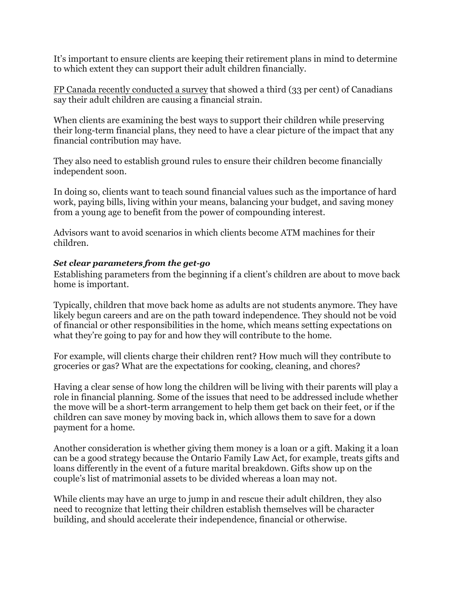It's important to ensure clients are keeping their retirement plans in mind to determine to which extent they can support their adult children financially.

[FP Canada recently conducted a survey](https://www.financialplanningforcanadians.ca/financial-planning/failure-to-launch) that showed a third (33 per cent) of Canadians say their adult children are causing a financial strain.

When clients are examining the best ways to support their children while preserving their long-term financial plans, they need to have a clear picture of the impact that any financial contribution may have.

They also need to establish ground rules to ensure their children become financially independent soon.

In doing so, clients want to teach sound financial values such as the importance of hard work, paying bills, living within your means, balancing your budget, and saving money from a young age to benefit from the power of compounding interest.

Advisors want to avoid scenarios in which clients become ATM machines for their children.

## *Set clear parameters from the get-go*

Establishing parameters from the beginning if a client's children are about to move back home is important.

Typically, children that move back home as adults are not students anymore. They have likely begun careers and are on the path toward independence. They should not be void of financial or other responsibilities in the home, which means setting expectations on what they're going to pay for and how they will contribute to the home.

For example, will clients charge their children rent? How much will they contribute to groceries or gas? What are the expectations for cooking, cleaning, and chores?

Having a clear sense of how long the children will be living with their parents will play a role in financial planning. Some of the issues that need to be addressed include whether the move will be a short-term arrangement to help them get back on their feet, or if the children can save money by moving back in, which allows them to save for a down payment for a home.

Another consideration is whether giving them money is a loan or a gift. Making it a loan can be a good strategy because the Ontario Family Law Act, for example, treats gifts and loans differently in the event of a future marital breakdown. Gifts show up on the couple's list of matrimonial assets to be divided whereas a loan may not.

While clients may have an urge to jump in and rescue their adult children, they also need to recognize that letting their children establish themselves will be character building, and should accelerate their independence, financial or otherwise.